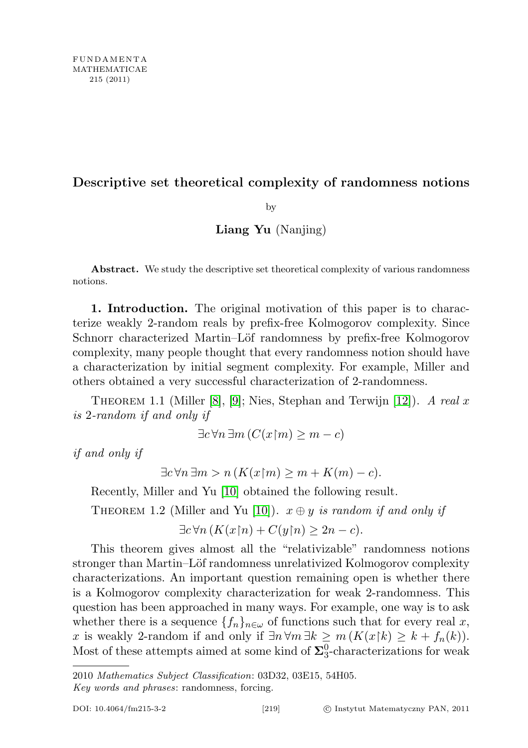## Descriptive set theoretical complexity of randomness notions

by

## Liang Yu (Nanjing)

Abstract. We study the descriptive set theoretical complexity of various randomness notions.

1. Introduction. The original motivation of this paper is to characterize weakly 2-random reals by prefix-free Kolmogorov complexity. Since Schnorr characterized Martin–Löf randomness by prefix-free Kolmogorov complexity, many people thought that every randomness notion should have a characterization by initial segment complexity. For example, Miller and others obtained a very successful characterization of 2-randomness.

THEOREM 1.1 (Miller [\[8\]](#page-12-0), [\[9\]](#page-12-1); Nies, Stephan and Terwijn [\[12\]](#page-12-2)). A real x is 2-random if and only if

$$
\exists c \,\forall n \,\exists m \,(C(x \mathord{\upharpoonright} m) \ge m - c)
$$

if and only if

$$
\exists c \forall n \exists m > n \left( K(x \upharpoonright m) \ge m + K(m) - c \right).
$$

Recently, Miller and Yu [\[10\]](#page-12-3) obtained the following result.

THEOREM 1.2 (Miller and Yu [\[10\]](#page-12-3)).  $x \oplus y$  is random if and only if

$$
\exists c \forall n (K(x \upharpoonright n) + C(y \upharpoonright n) \ge 2n - c).
$$

This theorem gives almost all the "relativizable" randomness notions stronger than Martin–Löf randomness unrelativized Kolmogorov complexity characterizations. An important question remaining open is whether there is a Kolmogorov complexity characterization for weak 2-randomness. This question has been approached in many ways. For example, one way is to ask whether there is a sequence  $\{f_n\}_{n\in\omega}$  of functions such that for every real x, x is weakly 2-random if and only if  $\exists n \forall m \exists k \ge m (K(x|k) \ge k + f_n(k)).$ Most of these attempts aimed at some kind of  $\Sigma^0_3$ -characterizations for weak

<sup>2010</sup> Mathematics Subject Classification: 03D32, 03E15, 54H05.

Key words and phrases: randomness, forcing.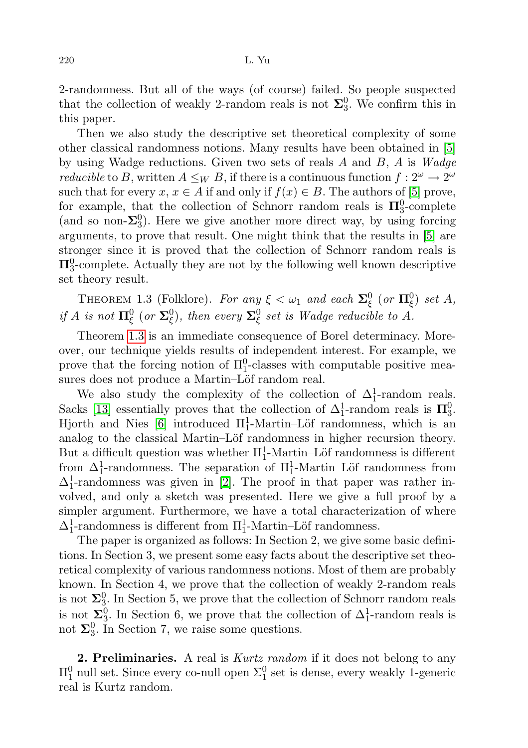2-randomness. But all of the ways (of course) failed. So people suspected that the collection of weakly 2-random reals is not  $\Sigma_3^0$ . We confirm this in this paper.

Then we also study the descriptive set theoretical complexity of some other classical randomness notions. Many results have been obtained in [\[5\]](#page-11-0) by using Wadge reductions. Given two sets of reals  $A$  and  $B$ ,  $A$  is Wadge *reducible* to B, written  $A \leq_W B$ , if there is a continuous function  $f: 2^{\omega} \to 2^{\omega}$ such that for every  $x, x \in A$  if and only if  $f(x) \in B$ . The authors of [\[5\]](#page-11-0) prove, for example, that the collection of Schnorr random reals is  $\Pi_3^0$ -complete (and so non- $\Sigma_3^0$ ). Here we give another more direct way, by using forcing arguments, to prove that result. One might think that the results in [\[5\]](#page-11-0) are stronger since it is proved that the collection of Schnorr random reals is  $\Pi^0_3$ -complete. Actually they are not by the following well known descriptive set theory result.

<span id="page-1-0"></span>THEOREM 1.3 (Folklore). For any  $\xi < \omega_1$  and each  $\Sigma^0_{\xi}$  (or  $\Pi^0_{\xi}$ ) set A, if A is not  $\Pi^0_\xi$  (or  $\Sigma^0_\xi$ ), then every  $\Sigma^0_\xi$  set is Wadge reducible to A.

Theorem [1.3](#page-1-0) is an immediate consequence of Borel determinacy. Moreover, our technique yields results of independent interest. For example, we prove that the forcing notion of  $\Pi_1^0$ -classes with computable positive measures does not produce a Martin–Löf random real.

We also study the complexity of the collection of  $\Delta_1^1$ -random reals. Sacks [\[13\]](#page-12-4) essentially proves that the collection of  $\Delta_1^1$ -random reals is  $\Pi_3^0$ . Hjorth and Nies [\[6\]](#page-12-5) introduced  $\Pi_1^1$ -Martin–Löf randomness, which is an analog to the classical Martin–Löf randomness in higher recursion theory. But a difficult question was whether  $\Pi_1^1$ -Martin–Löf randomness is different from  $\Delta_1^1$ -randomness. The separation of  $\Pi_1^1$ -Martin–Löf randomness from  $\Delta_1^1$ -randomness was given in [\[2\]](#page-11-1). The proof in that paper was rather involved, and only a sketch was presented. Here we give a full proof by a simpler argument. Furthermore, we have a total characterization of where  $\Delta_1^1$ -randomness is different from  $\Pi_1^1$ -Martin–Löf randomness.

The paper is organized as follows: In Section 2, we give some basic definitions. In Section 3, we present some easy facts about the descriptive set theoretical complexity of various randomness notions. Most of them are probably known. In Section 4, we prove that the collection of weakly 2-random reals is not  $\Sigma_3^0$ . In Section 5, we prove that the collection of Schnorr random reals is not  $\Sigma_3^0$ . In Section 6, we prove that the collection of  $\Delta_1^1$ -random reals is not  $\Sigma_3^0$ . In Section 7, we raise some questions.

2. Preliminaries. A real is *Kurtz random* if it does not belong to any  $\Pi^0_1$  null set. Since every co-null open  $\Sigma^0_1$  set is dense, every weakly 1-generic real is Kurtz random.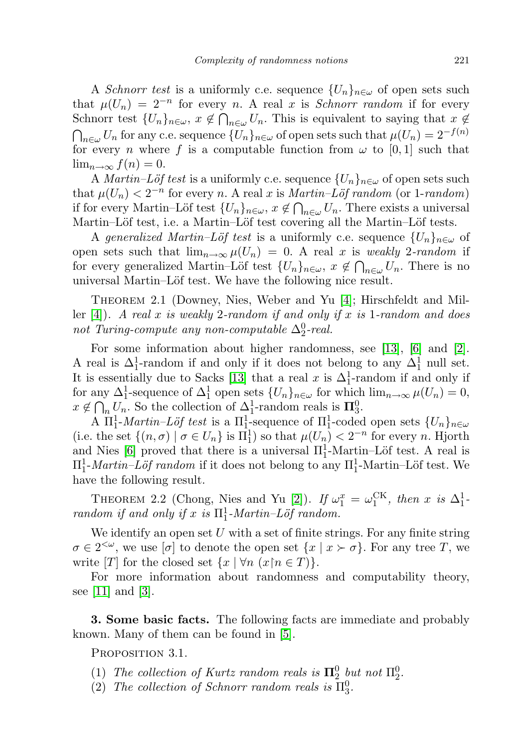A Schnorr test is a uniformly c.e. sequence  $\{U_n\}_{n\in\omega}$  of open sets such that  $\mu(U_n) = 2^{-n}$  for every n. A real x is *Schnorr random* if for every Schnorr test  $\{U_n\}_{n\in\omega}, x \notin \bigcap_{n\in\omega} U_n$ . This is equivalent to saying that  $x \notin$  $\bigcap_{n\in\omega}U_n$  for any c.e. sequence  $\{U_n\}_{n\in\omega}$  of open sets such that  $\mu(U_n)=2^{-f(n)}$ for every *n* where f is a computable function from  $\omega$  to [0, 1] such that  $\lim_{n\to\infty}f(n)=0.$ 

A *Martin–Löf test* is a uniformly c.e. sequence  $\{U_n\}_{n\in\omega}$  of open sets such that  $\mu(U_n) < 2^{-n}$  for every n. A real x is Martin–Löf random (or 1-random) if for every Martin–Löf test  $\{U_n\}_{n\in\omega}$ ,  $x \notin \bigcap_{n\in\omega} U_n$ . There exists a universal Martin–Löf test, i.e. a Martin–Löf test covering all the Martin–Löf tests.

A generalized Martin–Löf test is a uniformly c.e. sequence  $\{U_n\}_{n\in\omega}$  of open sets such that  $\lim_{n\to\infty} \mu(U_n) = 0$ . A real x is weakly 2-random if for every generalized Martin–Löf test  $\{U_n\}_{n\in\omega}$ ,  $x \notin \bigcap_{n\in\omega} U_n$ . There is no universal Martin–Löf test. We have the following nice result.

<span id="page-2-0"></span>THEOREM 2.1 (Downey, Nies, Weber and Yu [\[4\]](#page-11-2); Hirschfeldt and Mil-ler [\[4\]](#page-11-2)). A real x is weakly 2-random if and only if x is 1-random and does not Turing-compute any non-computable  $\Delta_2^0$ -real.

For some information about higher randomness, see [\[13\]](#page-12-4), [\[6\]](#page-12-5) and [\[2\]](#page-11-1). A real is  $\Delta_1^1$ -random if and only if it does not belong to any  $\Delta_1^1$  null set. It is essentially due to Sacks [\[13\]](#page-12-4) that a real x is  $\Delta_1^1$ -random if and only if for any  $\Delta_1^1$ -sequence of  $\Delta_1^1$  open sets  $\{U_n\}_{n\in\omega}$  for which  $\lim_{n\to\infty}\mu(U_n)=0$ ,  $x \notin \bigcap_n U_n$ . So the collection of  $\Delta_1^1$ -random reals is  $\Pi_3^0$ .

A  $\Pi_1^1$ -*Martin–Löf test* is a  $\Pi_1^1$ -sequence of  $\Pi_1^1$ -coded open sets  $\{U_n\}_{n\in\omega}$ (i.e. the set  $\{(n, \sigma) | \sigma \in U_n\}$  is  $\Pi_1^1$ ) so that  $\mu(U_n) < 2^{-n}$  for every n. Hjorth and Nies [\[6\]](#page-12-5) proved that there is a universal  $\Pi_1^1$ -Martin–Löf test. A real is  $\Pi_1^1$ -*Martin–Löf random* if it does not belong to any  $\Pi_1^1$ -Martin–Löf test. We have the following result.

<span id="page-2-1"></span>THEOREM 2.2 (Chong, Nies and Yu [\[2\]](#page-11-1)). If  $\omega_1^x = \omega_1^{\text{CK}}$ , then x is  $\Delta_1^1$ . random if and only if x is  $\Pi_1^1$ -Martin-Löf random.

We identify an open set U with a set of finite strings. For any finite string  $\sigma \in 2^{<\omega}$ , we use  $[\sigma]$  to denote the open set  $\{x \mid x \succ \sigma\}$ . For any tree T, we write [T] for the closed set  $\{x \mid \forall n \ (x \in T)\}.$ 

For more information about randomness and computability theory, see  $|11|$  and  $|3|$ .

3. Some basic facts. The following facts are immediate and probably known. Many of them can be found in [\[5\]](#page-11-0).

PROPOSITION 3.1.

- (1) The collection of Kurtz random reals is  $\Pi_2^0$  but not  $\Pi_2^0$ .
- (2) The collection of Schnorr random reals is  $\Pi_3^0$ .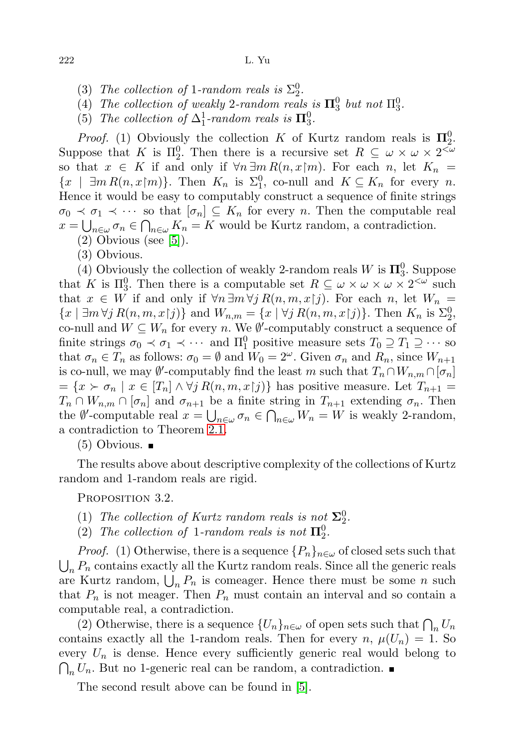- (3) The collection of 1-random reals is  $\Sigma_2^0$ .
- (4) The collection of weakly 2-random reals is  $\Pi_3^0$  but not  $\Pi_3^0$ .
- (5) The collection of  $\Delta_1^1$ -random reals is  $\Pi_3^0$ .

*Proof.* (1) Obviously the collection K of Kurtz random reals is  $\Pi_2^0$ . Suppose that K is  $\Pi_2^0$ . Then there is a recursive set  $R \subseteq \omega \times \omega \times 2^{<\omega}$ so that  $x \in K$  if and only if  $\forall n \exists m R(n,x|m)$ . For each n, let  $K_n =$  $\{x \mid \exists m R(n,x\mathord{\restriction} m)\}.$  Then  $K_n$  is  $\Sigma_1^0$ , co-null and  $K \subseteq K_n$  for every n. Hence it would be easy to computably construct a sequence of finite strings  $\sigma_0 \prec \sigma_1 \prec \cdots$  so that  $[\sigma_n] \subseteq K_n$  for every n. Then the computable real  $x = \bigcup_{n \in \omega} \sigma_n \in \bigcap_{n \in \omega} K_n = K$  would be Kurtz random, a contradiction.

 $(2)$  Obvious (see [\[5\]](#page-11-0)).

(3) Obvious.

(4) Obviously the collection of weakly 2-random reals W is  $\mathbf{\Pi}^0_3$ . Suppose that K is  $\Pi_3^0$ . Then there is a computable set  $R \subseteq \omega \times \omega \times \omega \times 2^{<\omega}$  such that  $x \in W$  if and only if  $\forall n \exists m \forall j R(n, m, x | j)$ . For each n, let  $W_n =$  $\{x \mid \exists m \forall j \ R(n,m,x|j)\}\$ and  $W_{n,m} = \{x \mid \forall j \ R(n,m,x|j)\}\$ . Then  $K_n$  is  $\Sigma_2^0$ , co-null and  $W \subseteq W_n$  for every n. We  $\emptyset'$ -computably construct a sequence of finite strings  $\sigma_0 \prec \sigma_1 \prec \cdots$  and  $\Pi_1^0$  positive measure sets  $T_0 \supseteq T_1 \supseteq \cdots$  so that  $\sigma_n \in T_n$  as follows:  $\sigma_0 = \emptyset$  and  $W_0 = 2^{\omega}$ . Given  $\sigma_n$  and  $R_n$ , since  $W_{n+1}$ is co-null, we may  $\emptyset'$ -computably find the least m such that  $T_n \cap W_{n,m} \cap [\sigma_n]$  $=\{x \succ \sigma_n \mid x \in [T_n] \wedge \forall j \, R(n,m,x|j)\}\$  has positive measure. Let  $T_{n+1} =$  $T_n \cap W_{n,m} \cap [\sigma_n]$  and  $\sigma_{n+1}$  be a finite string in  $T_{n+1}$  extending  $\sigma_n$ . Then the  $\emptyset'$ -computable real  $x = \bigcup_{n \in \omega} \sigma_n \in \bigcap_{n \in \omega} W_n = W$  is weakly 2-random, a contradiction to Theorem [2.1.](#page-2-0)

 $(5)$  Obvious.  $\blacksquare$ 

The results above about descriptive complexity of the collections of Kurtz random and 1-random reals are rigid.

PROPOSITION 3.2.

- (1) The collection of Kurtz random reals is not  $\Sigma_2^0$ .
- (2) The collection of 1-random reals is not  $\Pi_2^0$ .

*Proof.* (1) Otherwise, there is a sequence  $\{P_n\}_{n\in\omega}$  of closed sets such that  $\bigcup_n P_n$  contains exactly all the Kurtz random reals. Since all the generic reals are Kurtz random,  $\bigcup_n P_n$  is comeager. Hence there must be some n such that  $P_n$  is not meager. Then  $P_n$  must contain an interval and so contain a computable real, a contradiction.

(2) Otherwise, there is a sequence  $\{U_n\}_{n\in\omega}$  of open sets such that  $\bigcap_n U_n$ contains exactly all the 1-random reals. Then for every  $n, \mu(U_n) = 1$ . So every  $U_n$  is dense. Hence every sufficiently generic real would belong to  $\bigcap_n U_n$ . But no 1-generic real can be random, a contradiction.

The second result above can be found in [\[5\]](#page-11-0).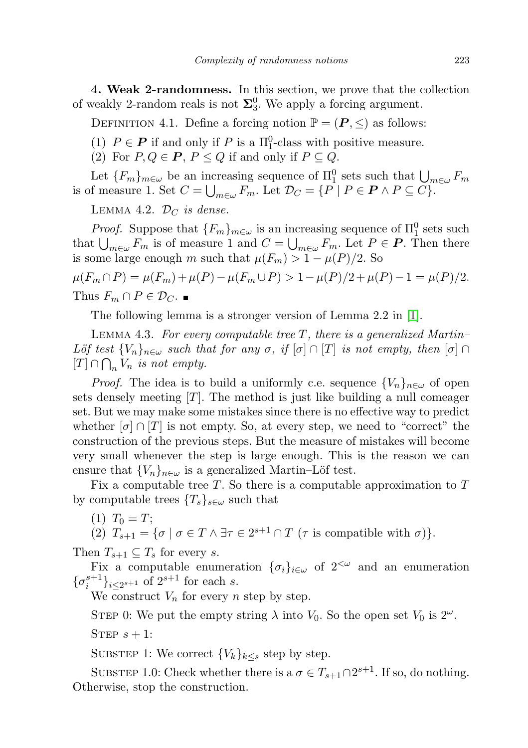4. Weak 2-randomness. In this section, we prove that the collection of weakly 2-random reals is not  $\Sigma_3^0$ . We apply a forcing argument.

DEFINITION 4.1. Define a forcing notion  $\mathbb{P} = (\mathbf{P}, \leq)$  as follows:

- (1)  $P \in \mathbf{P}$  if and only if P is a  $\Pi_1^0$ -class with positive measure.
- (2) For  $P, Q \in \mathbf{P}$ ,  $P \leq Q$  if and only if  $P \subseteq Q$ .

Let  ${F_m}_{m \in \omega}$  be an increasing sequence of  $\Pi_1^0$  sets such that  $\bigcup_{m \in \omega} F_m$ is of measure 1. Set  $C = \bigcup_{m \in \omega} F_m$ . Let  $\mathcal{D}_C = \{ P \mid P \in \mathbf{P} \land P \subseteq C \}.$ 

<span id="page-4-1"></span>LEMMA 4.2.  $\mathcal{D}_C$  is dense.

*Proof.* Suppose that  ${F_m}_{m \in \omega}$  is an increasing sequence of  $\Pi_1^0$  sets such that  $\bigcup_{m\in\omega}F_m$  is of measure 1 and  $C=\bigcup_{m\in\omega}F_m$ . Let  $P\in\mathbf{P}$ . Then there is some large enough m such that  $\mu(F_m) > 1 - \mu(P)/2$ . So

 $\mu(F_m \cap P) = \mu(F_m) + \mu(P) - \mu(F_m \cup P) > 1 - \mu(P)/2 + \mu(P) - 1 = \mu(P)/2.$ Thus  $F_m \cap P \in \mathcal{D}_C$ .

The following lemma is a stronger version of Lemma 2.2 in [\[1\]](#page-11-4).

<span id="page-4-0"></span>LEMMA 4.3. For every computable tree  $T$ , there is a generalized Martin– Löf test  ${V_n}_{n \in \omega}$  such that for any  $\sigma$ , if  $[\sigma] \cap [T]$  is not empty, then  $[\sigma] \cap$  $[T] \cap \bigcap_n V_n$  is not empty.

*Proof.* The idea is to build a uniformly c.e. sequence  $\{V_n\}_{n\in\omega}$  of open sets densely meeting  $[T]$ . The method is just like building a null comeager set. But we may make some mistakes since there is no effective way to predict whether  $[\sigma] \cap [T]$  is not empty. So, at every step, we need to "correct" the construction of the previous steps. But the measure of mistakes will become very small whenever the step is large enough. This is the reason we can ensure that  ${V_n}_{n \in \omega}$  is a generalized Martin–Löf test.

Fix a computable tree  $T$ . So there is a computable approximation to  $T$ by computable trees  ${T_s}_{s \in \omega}$  such that

 $(1)$   $T_0 = T$ ;

(2)  $T_{s+1} = {\sigma \mid \sigma \in T \land \exists \tau \in 2^{s+1} \cap T \; (\tau \text{ is compatible with } \sigma) }$ .

Then  $T_{s+1} \subseteq T_s$  for every s.

Fix a computable enumeration  $\{\sigma_i\}_{i\in\omega}$  of  $2<sup>{\omega}</sup>$  and an enumeration  $\{\sigma_i^{s+1}\}_{i\leq 2^{s+1}}$  of  $2^{s+1}$  for each s.

We construct  $V_n$  for every n step by step.

STEP 0: We put the empty string  $\lambda$  into  $V_0$ . So the open set  $V_0$  is  $2^{\omega}$ .

STEP  $s + 1$ :

SUBSTEP 1: We correct  ${V_k}_{k\leq s}$  step by step.

SUBSTEP 1.0: Check whether there is a  $\sigma \in T_{s+1} \cap 2^{s+1}$ . If so, do nothing. Otherwise, stop the construction.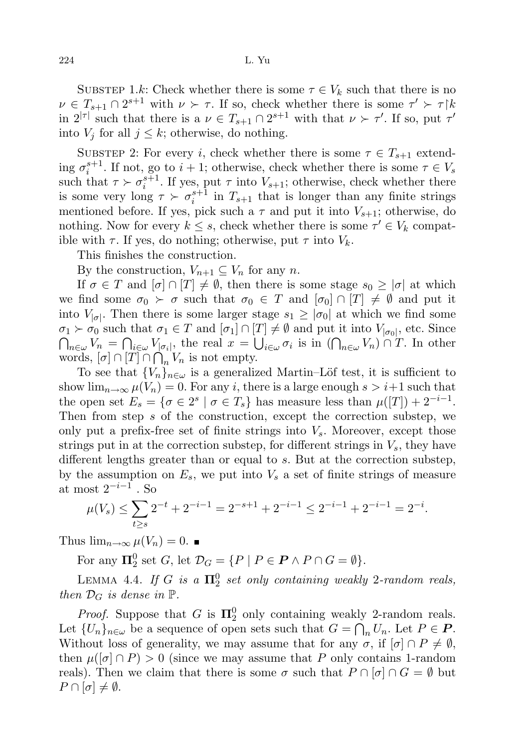SUBSTEP 1.k: Check whether there is some  $\tau \in V_k$  such that there is no  $\nu \in T_{s+1} \cap 2^{s+1}$  with  $\nu \succ \tau$ . If so, check whether there is some  $\tau' \succ \tau$ in  $2^{|\tau|}$  such that there is a  $\nu \in T_{s+1} \cap 2^{s+1}$  with that  $\nu \succ \tau'$ . If so, put  $\tau'$ into  $V_i$  for all  $j \leq k$ ; otherwise, do nothing.

SUBSTEP 2: For every i, check whether there is some  $\tau \in T_{s+1}$  extending  $\sigma_i^{s+1}$ . If not, go to  $i+1$ ; otherwise, check whether there is some  $\tau \in V_s$ such that  $\tau \succ \sigma_i^{s+1}$ . If yes, put  $\tau$  into  $V_{s+1}$ ; otherwise, check whether there is some very long  $\tau \succ \sigma_i^{s+1}$  in  $T_{s+1}$  that is longer than any finite strings mentioned before. If yes, pick such a  $\tau$  and put it into  $V_{s+1}$ ; otherwise, do nothing. Now for every  $k \leq s$ , check whether there is some  $\tau' \in V_k$  compatible with  $\tau$ . If yes, do nothing; otherwise, put  $\tau$  into  $V_k$ .

This finishes the construction.

By the construction,  $V_{n+1} \subseteq V_n$  for any n.

If  $\sigma \in T$  and  $[\sigma] \cap [T] \neq \emptyset$ , then there is some stage  $s_0 \geq |\sigma|$  at which we find some  $\sigma_0 \succ \sigma$  such that  $\sigma_0 \in T$  and  $[\sigma_0] \cap [T] \neq \emptyset$  and put it into  $V_{|\sigma|}$ . Then there is some larger stage  $s_1 \geq |\sigma_0|$  at which we find some  $\sigma_1 \succ \sigma_0$  such that  $\sigma_1 \in T$  and  $[\sigma_1] \cap [T] \neq \emptyset$  and put it into  $V_{|\sigma_0|}$ , etc. Since  $\bigcap_{n\in\omega}V_n=\bigcap_{i\in\omega}V_{|\sigma_i|}$ , the real  $x=\bigcup_{i\in\omega}\sigma_i$  is in  $(\bigcap_{n\in\omega}V_n)\cap T$ . In other words,  $[\sigma] \cap [T] \cap \bigcap_n V_n$  is not empty.

To see that  ${V_n}_{n \in \omega}$  is a generalized Martin–Löf test, it is sufficient to show  $\lim_{n\to\infty}\mu(V_n)=0$ . For any i, there is a large enough  $s>i+1$  such that the open set  $E_s = \{ \sigma \in 2^s \mid \sigma \in T_s \}$  has measure less than  $\mu([T]) + 2^{-i-1}$ . Then from step s of the construction, except the correction substep, we only put a prefix-free set of finite strings into  $V_s$ . Moreover, except those strings put in at the correction substep, for different strings in  $V_s$ , they have different lengths greater than or equal to s. But at the correction substep, by the assumption on  $E_s$ , we put into  $V_s$  a set of finite strings of measure at most  $2^{-i-1}$ . So

$$
\mu(V_s) \le \sum_{t \ge s} 2^{-t} + 2^{-i-1} = 2^{-s+1} + 2^{-i-1} \le 2^{-i-1} + 2^{-i-1} = 2^{-i}.
$$

Thus  $\lim_{n\to\infty}\mu(V_n)=0$ .

For any  $\Pi_2^0$  set G, let  $\mathcal{D}_G = \{ P \mid P \in \mathbf{P} \land P \cap G = \emptyset \}.$ 

<span id="page-5-0"></span>LEMMA 4.4. If G is a  $\Pi^0_2$  set only containing weakly 2-random reals, then  $\mathcal{D}_G$  is dense in  $\mathbb{P}$ .

*Proof.* Suppose that G is  $\Pi_2^0$  only containing weakly 2-random reals. Let  $\{U_n\}_{n\in\omega}$  be a sequence of open sets such that  $G = \bigcap_n U_n$ . Let  $P \in \mathbf{P}$ . Without loss of generality, we may assume that for any  $\sigma$ , if  $[\sigma] \cap P \neq \emptyset$ , then  $\mu([\sigma] \cap P) > 0$  (since we may assume that P only contains 1-random reals). Then we claim that there is some  $\sigma$  such that  $P \cap [\sigma] \cap G = \emptyset$  but  $P \cap [\sigma] \neq \emptyset$ .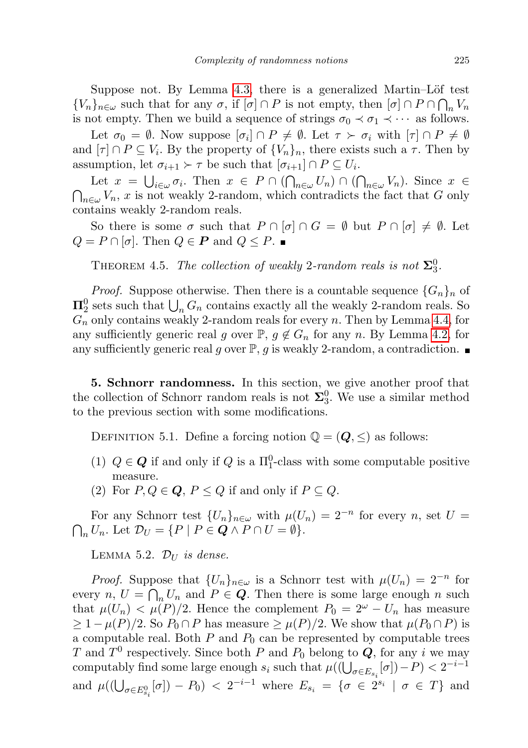Suppose not. By Lemma [4.3,](#page-4-0) there is a generalized Martin–Löf test  ${V_n}_{n \in \omega}$  such that for any  $\sigma$ , if  $[\sigma] \cap P$  is not empty, then  $[\sigma] \cap P \cap \bigcap_n V_n$ is not empty. Then we build a sequence of strings  $\sigma_0 \prec \sigma_1 \prec \cdots$  as follows.

Let  $\sigma_0 = \emptyset$ . Now suppose  $[\sigma_i] \cap P \neq \emptyset$ . Let  $\tau \succ \sigma_i$  with  $[\tau] \cap P \neq \emptyset$ and  $[\tau] \cap P \subseteq V_i$ . By the property of  $\{V_n\}_n$ , there exists such a  $\tau$ . Then by assumption, let  $\sigma_{i+1} \succ \tau$  be such that  $[\sigma_{i+1}] \cap P \subseteq U_i$ .

Let  $x = \bigcup_{i \in \omega} \sigma_i$ . Then  $x \in P \cap (\bigcap_{n \in \omega} U_n) \cap (\bigcap_{n \in \omega} V_n)$ . Since  $x \in$  $\bigcap_{n\in\omega}V_n$ , x is not weakly 2-random, which contradicts the fact that G only contains weakly 2-random reals.

So there is some  $\sigma$  such that  $P \cap [\sigma] \cap G = \emptyset$  but  $P \cap [\sigma] \neq \emptyset$ . Let  $Q = P \cap [\sigma]$ . Then  $Q \in \mathbf{P}$  and  $Q \leq P$ .

THEOREM 4.5. The collection of weakly 2-random reals is not  $\Sigma_3^0$ .

*Proof.* Suppose otherwise. Then there is a countable sequence  ${G_n}_n$  of  $\Pi^0_2$  sets such that  $\bigcup_n G_n$  contains exactly all the weakly 2-random reals. So  $G_n$  only contains weakly 2-random reals for every n. Then by Lemma [4.4,](#page-5-0) for any sufficiently generic real g over  $\mathbb{P}, g \notin G_n$  for any n. By Lemma [4.2,](#page-4-1) for any sufficiently generic real g over  $\mathbb{P}, g$  is weakly 2-random, a contradiction.

5. Schnorr randomness. In this section, we give another proof that the collection of Schnorr random reals is not  $\Sigma_3^0$ . We use a similar method to the previous section with some modifications.

DEFINITION 5.1. Define a forcing notion  $\mathbb{Q} = (Q, \leq)$  as follows:

- (1)  $Q \in \mathbf{Q}$  if and only if  $Q$  is a  $\Pi_1^0$ -class with some computable positive measure.
- (2) For  $P, Q \in \mathbf{Q}, P \leq Q$  if and only if  $P \subseteq Q$ .

For any Schnorr test  $\{U_n\}_{n\in\omega}$  with  $\mu(U_n)=2^{-n}$  for every n, set  $U=$  $\bigcap_n U_n$ . Let  $\mathcal{D}_U = \{ P \mid P \in \mathbf{Q} \land P \cap U = \emptyset \}.$ 

<span id="page-6-0"></span>LEMMA 5.2.  $\mathcal{D}_{U}$  is dense.

*Proof.* Suppose that  $\{U_n\}_{n\in\omega}$  is a Schnorr test with  $\mu(U_n) = 2^{-n}$  for every  $n, U = \bigcap_n U_n$  and  $P \in \mathbf{Q}$ . Then there is some large enough n such that  $\mu(U_n) < \mu(P)/2$ . Hence the complement  $P_0 = 2^{\omega} - U_n$  has measure  $\geq 1 - \mu(P)/2$ . So  $P_0 \cap P$  has measure  $\geq \mu(P)/2$ . We show that  $\mu(P_0 \cap P)$  is a computable real. Both  $P$  and  $P_0$  can be represented by computable trees T and  $T^0$  respectively. Since both P and  $P_0$  belong to  $Q$ , for any i we may computably find some large enough  $s_i$  such that  $\mu((\bigcup_{\sigma \in E_{s_i}} [\sigma]) - P) < 2^{-i-1}$ and  $\mu((\bigcup_{\sigma \in E_{s_i}^0} [\sigma]) - P_0) < 2^{-i-1}$  where  $E_{s_i} = \{ \sigma \in 2^{s_i} \mid \sigma \in T \}$  and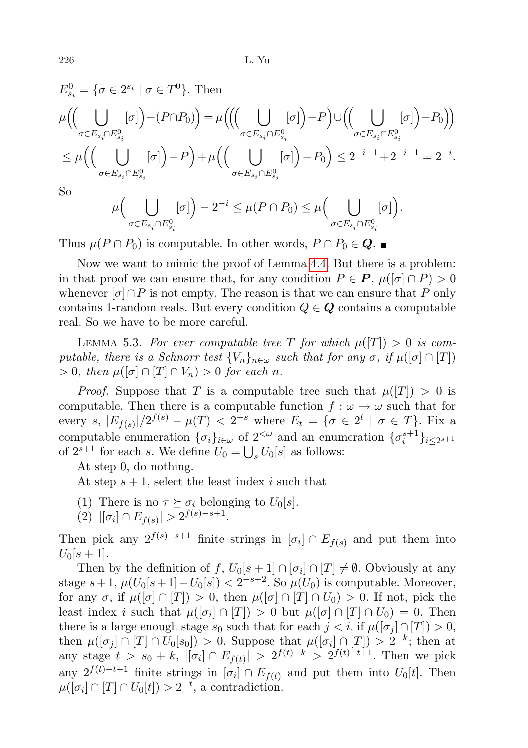226 L. Yu

$$
E_{s_i}^0 = \{ \sigma \in 2^{s_i} \mid \sigma \in T^0 \}. \text{ Then}
$$
  
\n
$$
\mu \Big( \Big( \bigcup_{\sigma \in E_{s_i} \cap E_{s_i}^0} [\sigma] \Big) - (P \cap P_0) \Big) = \mu \Big( \Big( \Big( \bigcup_{\sigma \in E_{s_i} \cap E_{s_i}^0} [\sigma] \Big) - P \Big) \cup \Big( \Big( \bigcup_{\sigma \in E_{s_i} \cap E_{s_i}^0} [\sigma] \Big) - P_0 \Big) \Big)
$$
  
\n
$$
\leq \mu \Big( \Big( \bigcup_{\sigma \in E_{s_i} \cap E_{s_i}^0} [\sigma] \Big) - P \Big) + \mu \Big( \Big( \bigcup_{\sigma \in E_{s_i} \cap E_{s_i}^0} [\sigma] \Big) - P_0 \Big) \leq 2^{-i-1} + 2^{-i-1} = 2^{-i}.
$$

So

$$
\mu\Big(\bigcup_{\sigma\in E_{s_i}\cap E_{s_i}^0} [\sigma]\Big)-2^{-i}\leq \mu(P\cap P_0)\leq \mu\Big(\bigcup_{\sigma\in E_{s_i}\cap E_{s_i}^0} [\sigma]\Big).
$$

Thus  $\mu(P \cap P_0)$  is computable. In other words,  $P \cap P_0 \in \mathbb{Q}$ .

Now we want to mimic the proof of Lemma [4.4.](#page-5-0) But there is a problem: in that proof we can ensure that, for any condition  $P \in \mathbf{P}$ ,  $\mu([\sigma] \cap P) > 0$ whenever  $\lbrack \sigma \rbrack \cap P$  is not empty. The reason is that we can ensure that P only contains 1-random reals. But every condition  $Q \in \mathbf{Q}$  contains a computable real. So we have to be more careful.

<span id="page-7-0"></span>LEMMA 5.3. For ever computable tree T for which  $\mu(|T|) > 0$  is computable, there is a Schnorr test  $\{V_n\}_{n\in\omega}$  such that for any  $\sigma$ , if  $\mu([\sigma] \cap [T])$  $> 0$ , then  $\mu([\sigma] \cap [T] \cap V_n) > 0$  for each n.

*Proof.* Suppose that T is a computable tree such that  $\mu(|T|) > 0$  is computable. Then there is a computable function  $f : \omega \to \omega$  such that for every  $s, |E_{f(s)}|/2^{f(s)} - \mu(T) < 2^{-s}$  where  $E_t = \{\sigma \in 2^t \mid \sigma \in T\}$ . Fix a computable enumeration  $\{\sigma_i\}_{i\in\omega}$  of  $2^{<\omega}$  and an enumeration  $\{\sigma_i^{s+1}\}_{i\leq 2^{s+1}}$ of  $2^{s+1}$  for each s. We define  $U_0 = \bigcup_s U_0[s]$  as follows:

At step 0, do nothing.

At step  $s + 1$ , select the least index i such that

- (1) There is no  $\tau \succeq \sigma_i$  belonging to  $U_0[s]$ .
- (2)  $|[\sigma_i] \cap E_{f(s)}| > 2^{f(s)-s+1}.$

Then pick any  $2^{f(s)-s+1}$  finite strings in  $[\sigma_i] \cap E_{f(s)}$  and put them into  $U_0[s+1]$ .

Then by the definition of  $f, U_0[s+1] \cap [\sigma_i] \cap [T] \neq \emptyset$ . Obviously at any stage  $s+1$ ,  $\mu(U_0[s+1]-U_0[s]) < 2^{-s+2}$ . So  $\mu(U_0)$  is computable. Moreover, for any  $\sigma$ , if  $\mu([\sigma] \cap [T]) > 0$ , then  $\mu([\sigma] \cap [T] \cap U_0) > 0$ . If not, pick the least index *i* such that  $\mu([\sigma_i] \cap [T]) > 0$  but  $\mu([\sigma] \cap [T] \cap U_0) = 0$ . Then there is a large enough stage  $s_0$  such that for each  $j < i$ , if  $\mu([\sigma_j] \cap [T]) > 0$ , then  $\mu([\sigma_j] \cap [T] \cap U_0[s_0]) > 0$ . Suppose that  $\mu([\sigma_i] \cap [T]) > 2^{-k}$ ; then at any stage  $t > s_0 + k$ ,  $|[\sigma_i] \cap E_{f(t)}| > 2^{f(t)-k} > 2^{f(t)-t+1}$ . Then we pick any  $2^{f(t)-t+1}$  finite strings in  $[\sigma_i] \cap E_{f(t)}$  and put them into  $U_0[t]$ . Then  $\mu([\sigma_i] \cap [T] \cap U_0[t]) > 2^{-t}$ , a contradiction.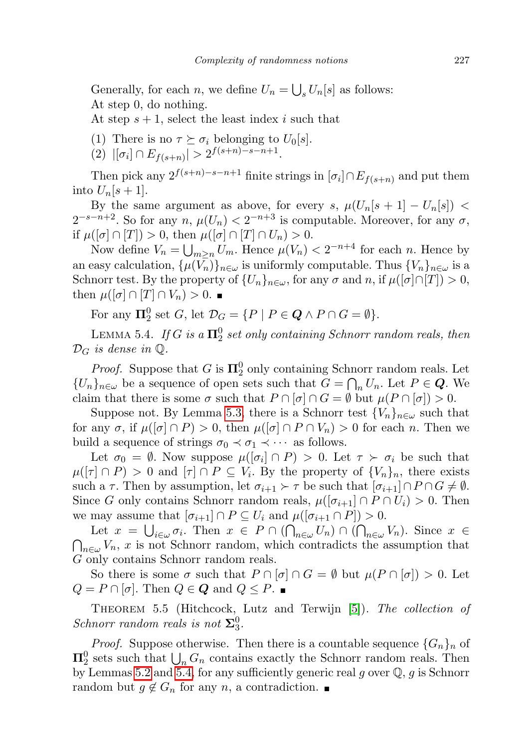Generally, for each *n*, we define  $U_n = \bigcup_s U_n[s]$  as follows: At step 0, do nothing.

At step  $s + 1$ , select the least index i such that

- (1) There is no  $\tau \succeq \sigma_i$  belonging to  $U_0[s]$ .
- (2)  $|[\sigma_i] \cap E_{f(s+n)}| > 2^{f(s+n)-s-n+1}.$

Then pick any  $2^{f(s+n)-s-n+1}$  finite strings in  $[\sigma_i] \cap E_{f(s+n)}$  and put them into  $U_n[s+1]$ .

By the same argument as above, for every s,  $\mu(U_n[s + 1] - U_n[s])$  <  $2^{-s-n+2}$ . So for any  $n, \mu(U_n) < 2^{-n+3}$  is computable. Moreover, for any  $\sigma$ , if  $\mu([\sigma] \cap [T]) > 0$ , then  $\mu([\sigma] \cap [T] \cap U_n) > 0$ .

Now define  $V_n = \bigcup_{m \geq n} U_m$ . Hence  $\mu(V_n) < 2^{-n+4}$  for each n. Hence by an easy calculation,  $\{\mu(V_n)\}_{n\in\omega}$  is uniformly computable. Thus  $\{V_n\}_{n\in\omega}$  is a Schnorr test. By the property of  $\{U_n\}_{n\in\omega}$ , for any  $\sigma$  and  $n$ , if  $\mu([\sigma]\cap[T]) > 0$ , then  $\mu([\sigma] \cap [T] \cap V_n) > 0$ .

For any  $\Pi_2^0$  set G, let  $\mathcal{D}_G = \{ P \mid P \in \mathbf{Q} \land P \cap G = \emptyset \}.$ 

<span id="page-8-0"></span>LEMMA 5.4. If G is a  $\Pi^0_2$  set only containing Schnorr random reals, then  $\mathcal{D}_G$  is dense in  $\mathbb{Q}$ .

*Proof.* Suppose that G is  $\Pi_2^0$  only containing Schnorr random reals. Let  ${U_n}_{n \in \omega}$  be a sequence of open sets such that  $G = \bigcap_n U_n$ . Let  $P \in \mathbf{Q}$ . We claim that there is some  $\sigma$  such that  $P \cap [\sigma] \cap G = \emptyset$  but  $\mu(P \cap [\sigma]) > 0$ .

Suppose not. By Lemma [5.3,](#page-7-0) there is a Schnorr test  ${V_n}_{n \in \omega}$  such that for any  $\sigma$ , if  $\mu([\sigma] \cap P) > 0$ , then  $\mu([\sigma] \cap P \cap V_n) > 0$  for each n. Then we build a sequence of strings  $\sigma_0 \prec \sigma_1 \prec \cdots$  as follows.

Let  $\sigma_0 = \emptyset$ . Now suppose  $\mu([\sigma_i] \cap P) > 0$ . Let  $\tau \succ \sigma_i$  be such that  $\mu([\tau] \cap P) > 0$  and  $[\tau] \cap P \subseteq V_i$ . By the property of  $\{V_n\}_n$ , there exists such a  $\tau$ . Then by assumption, let  $\sigma_{i+1} \succ \tau$  be such that  $[\sigma_{i+1}] \cap P \cap G \neq \emptyset$ . Since G only contains Schnorr random reals,  $\mu([\sigma_{i+1}] \cap P \cap U_i) > 0$ . Then we may assume that  $[\sigma_{i+1}] \cap P \subseteq U_i$  and  $\mu([\sigma_{i+1} \cap P]) > 0$ .

Let  $x = \bigcup_{i \in \omega} \sigma_i$ . Then  $x \in P \cap (\bigcap_{n \in \omega} U_n) \cap (\bigcap_{n \in \omega} V_n)$ . Since  $x \in$  $\bigcap_{n\in\omega}V_n$ , x is not Schnorr random, which contradicts the assumption that G only contains Schnorr random reals.

So there is some  $\sigma$  such that  $P \cap [\sigma] \cap G = \emptyset$  but  $\mu(P \cap [\sigma]) > 0$ . Let  $Q = P \cap [\sigma]$ . Then  $Q \in \mathbf{Q}$  and  $Q \leq P$ .

THEOREM 5.5 (Hitchcock, Lutz and Terwijn [\[5\]](#page-11-0)). The collection of Schnorr random reals is not  $\Sigma_3^0$ .

*Proof.* Suppose otherwise. Then there is a countable sequence  $\{G_n\}_n$  of  $\Pi_2^0$  sets such that  $\bigcup_n G_n$  contains exactly the Schnorr random reals. Then by Lemmas [5.2](#page-6-0) and [5.4,](#page-8-0) for any sufficiently generic real g over  $\mathbb{Q}, g$  is Schnorr random but  $g \notin G_n$  for any n, a contradiction.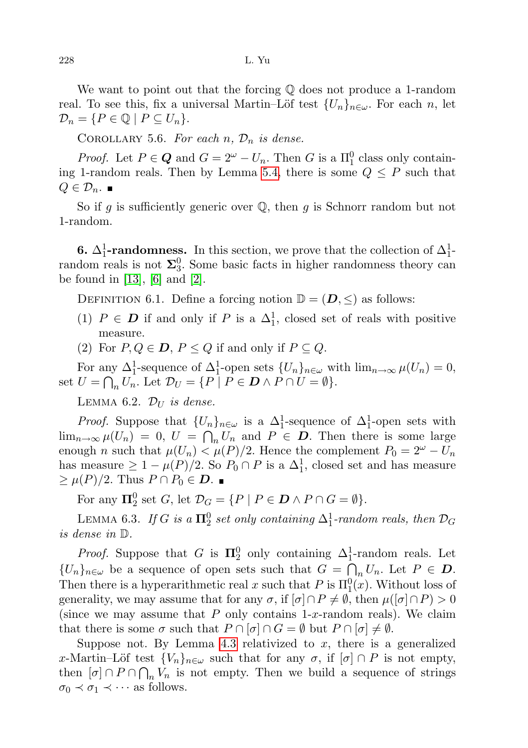We want to point out that the forcing Q does not produce a 1-random real. To see this, fix a universal Martin–Löf test  $\{U_n\}_{n\in\omega}$ . For each n, let  $\mathcal{D}_n = \{P \in \mathbb{Q} \mid P \subseteq U_n\}.$ 

COROLLARY 5.6. For each  $n, \mathcal{D}_n$  is dense.

*Proof.* Let  $P \in \mathbf{Q}$  and  $G = 2^{\omega} - U_n$ . Then G is a  $\Pi_1^0$  class only contain-ing 1-random reals. Then by Lemma [5.4,](#page-8-0) there is some  $Q \leq P$  such that  $Q \in \mathcal{D}_n$ .

So if g is sufficiently generic over  $\mathbb Q$ , then g is Schnorr random but not 1-random.

**6.**  $\Delta_1^1$ -randomness. In this section, we prove that the collection of  $\Delta_1^1$ random reals is not  $\Sigma_3^0$ . Some basic facts in higher randomness theory can be found in [\[13\]](#page-12-4), [\[6\]](#page-12-5) and [\[2\]](#page-11-1).

DEFINITION 6.1. Define a forcing notion  $\mathbb{D} = (\mathbf{D}, \leq)$  as follows:

- (1)  $P \in D$  if and only if P is a  $\Delta_1^1$ , closed set of reals with positive measure.
- (2) For  $P, Q \in \mathbf{D}, P \leq Q$  if and only if  $P \subseteq Q$ .

For any  $\Delta_1^1$ -sequence of  $\Delta_1^1$ -open sets  $\{U_n\}_{n\in\omega}$  with  $\lim_{n\to\infty}\mu(U_n)=0$ , set  $U = \bigcap_n U_n$ . Let  $\mathcal{D}_U = \{ P \mid P \in \mathbf{D} \wedge P \cap U = \emptyset \}.$ 

LEMMA 6.2.  $\mathcal{D}_{U}$  is dense.

*Proof.* Suppose that  $\{U_n\}_{n\in\omega}$  is a  $\Delta_1^1$ -sequence of  $\Delta_1^1$ -open sets with  $\lim_{n\to\infty}\mu(U_n) = 0, U = \bigcap_n U_n$  and  $P \in \mathcal{D}$ . Then there is some large enough n such that  $\mu(U_n) < \mu(P)/2$ . Hence the complement  $P_0 = 2^{\omega} - U_n$ has measure  $\geq 1 - \mu(P)/2$ . So  $P_0 \cap P$  is a  $\Delta_1^1$ , closed set and has measure  $\geq \mu(P)/2$ . Thus  $P \cap P_0 \in \mathbf{D}$ . ■

For any  $\Pi_2^0$  set G, let  $\mathcal{D}_G = \{ P \mid P \in \mathbf{D} \land P \cap G = \emptyset \}.$ 

LEMMA 6.3. If G is a  $\Pi^0_2$  set only containing  $\Delta^1_1$ -random reals, then  $\mathcal{D}_G$ is dense in D.

*Proof.* Suppose that G is  $\Pi_2^0$  only containing  $\Delta_1^1$ -random reals. Let  ${U_n}_{n \in \omega}$  be a sequence of open sets such that  $G = \bigcap_n U_n$ . Let  $P \in \mathcal{D}$ . Then there is a hyperarithmetic real x such that P is  $\Pi_1^0(x)$ . Without loss of generality, we may assume that for any  $\sigma$ , if  $[\sigma] \cap P \neq \emptyset$ , then  $\mu([\sigma] \cap P) > 0$ (since we may assume that  $P$  only contains 1-x-random reals). We claim that there is some  $\sigma$  such that  $P \cap [\sigma] \cap G = \emptyset$  but  $P \cap [\sigma] \neq \emptyset$ .

Suppose not. By Lemma [4.3](#page-4-0) relativized to  $x$ , there is a generalized x-Martin–Löf test  ${V_n}_{n \in \omega}$  such that for any  $\sigma$ , if  $[\sigma] \cap P$  is not empty, then  $[\sigma] \cap P \cap \bigcap_n V_n$  is not empty. Then we build a sequence of strings  $\sigma_0 \prec \sigma_1 \prec \cdots$  as follows.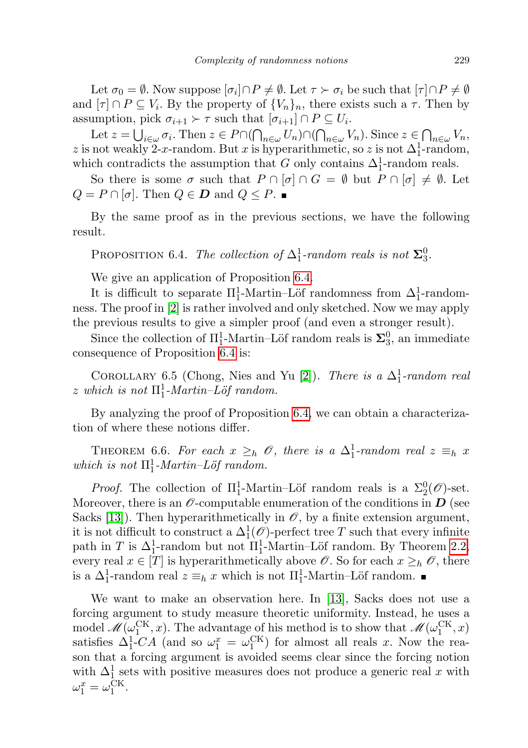Let  $\sigma_0 = \emptyset$ . Now suppose  $[\sigma_i] \cap P \neq \emptyset$ . Let  $\tau \succ \sigma_i$  be such that  $[\tau] \cap P \neq \emptyset$ and  $[\tau] \cap P \subseteq V_i$ . By the property of  $\{V_n\}_n$ , there exists such a  $\tau$ . Then by assumption, pick  $\sigma_{i+1} \succ \tau$  such that  $[\sigma_{i+1}] \cap P \subseteq U_i$ .

Let  $z = \bigcup_{i \in \omega} \sigma_i$ . Then  $z \in P \cap (\bigcap_{n \in \omega} U_n) \cap (\bigcap_{n \in \omega} V_n)$ . Since  $z \in \bigcap_{n \in \omega} V_n$ , z is not weakly 2-x-random. But x is hyperarithmetic, so z is not  $\Delta_1^1$ -random, which contradicts the assumption that G only contains  $\Delta_1^1$ -random reals.

So there is some  $\sigma$  such that  $P \cap [\sigma] \cap G = \emptyset$  but  $P \cap [\sigma] \neq \emptyset$ . Let  $Q = P \cap [\sigma]$ . Then  $Q \in \mathcal{D}$  and  $Q \leq P$ .

By the same proof as in the previous sections, we have the following result.

<span id="page-10-0"></span>PROPOSITION 6.4. The collection of  $\Delta_1^1$ -random reals is not  $\Sigma_3^0$ .

We give an application of Proposition [6.4.](#page-10-0)

It is difficult to separate  $\Pi_1^1$ -Martin–Löf randomness from  $\Delta_1^1$ -randomness. The proof in [\[2\]](#page-11-1) is rather involved and only sketched. Now we may apply the previous results to give a simpler proof (and even a stronger result).

Since the collection of  $\Pi_1^1$ -Martin–Löf random reals is  $\Sigma_3^0$ , an immediate consequence of Proposition [6.4](#page-10-0) is:

COROLLARY 6.5 (Chong, Nies and Yu [\[2\]](#page-11-1)). There is a  $\Delta_1^1$ -random real z which is not  $\Pi_1^1$ -Martin–Löf random.

By analyzing the proof of Proposition [6.4,](#page-10-0) we can obtain a characterization of where these notions differ.

THEOREM 6.6. For each  $x \geq_h \mathcal{O}$ , there is a  $\Delta_1^1$ -random real  $z \equiv_h x$ which is not  $\Pi_1^1$ -Martin–Löf random.

*Proof.* The collection of  $\Pi_1^1$ -Martin–Löf random reals is a  $\Sigma_2^0(\mathscr{O})$ -set. Moreover, there is an  $\mathscr O$ -computable enumeration of the conditions in  $D$  (see Sacks [\[13\]](#page-12-4)). Then hyperarithmetically in  $\mathcal{O}$ , by a finite extension argument, it is not difficult to construct a  $\Delta_1^1(\mathscr{O})$ -perfect tree T such that every infinite path in T is  $\Delta_1^1$ -random but not  $\Pi_1^1$ -Martin–Löf random. By Theorem [2.2,](#page-2-1) every real  $x \in [T]$  is hyperarithmetically above  $\mathscr O$ . So for each  $x \geq_h \mathscr O$ , there is a  $\Delta_1^1$ -random real  $z \equiv_h x$  which is not  $\Pi_1^1$ -Martin–Löf random.

We want to make an observation here. In [\[13\]](#page-12-4), Sacks does not use a forcing argument to study measure theoretic uniformity. Instead, he uses a model  $\mathscr{M}(\omega_1^{\text{CK}},x)$ . The advantage of his method is to show that  $\mathscr{M}(\omega_1^{\text{CK}},x)$ satisfies  $\Delta_1^1$ -CA (and so  $\omega_1^x = \omega_1^{\text{CK}}$ ) for almost all reals x. Now the reason that a forcing argument is avoided seems clear since the forcing notion with  $\Delta_1^1$  sets with positive measures does not produce a generic real x with  $\omega_1^x = \omega_1^{\text{CK}}.$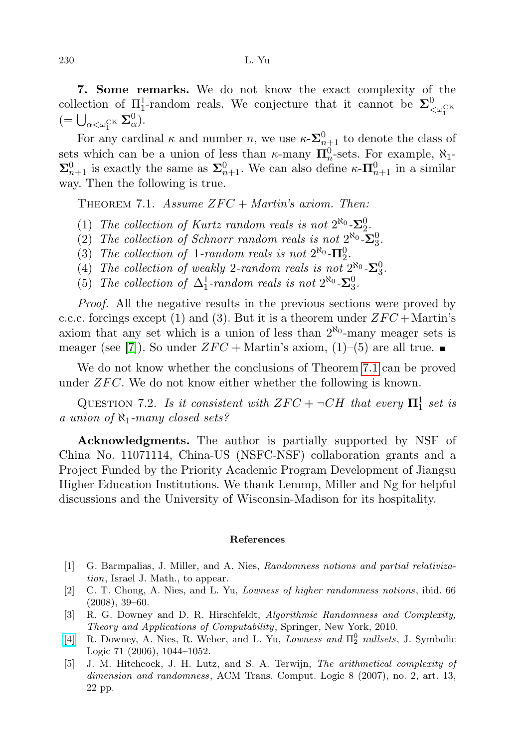7. Some remarks. We do not know the exact complexity of the collection of  $\Pi_1^1$ -random reals. We conjecture that it cannot be  $\Sigma^0_{\leq \omega_1^{\text{CK}}}$  $(=\bigcup_{\alpha<\omega_1^{\text{CK}}}\Sigma^0_{\alpha}).$ 

For any cardinal  $\kappa$  and number n, we use  $\kappa \text{-} \Sigma_{n+1}^0$  to denote the class of sets which can be a union of less than  $\kappa$ -many  $\prod_{n=0}^{n}$ -sets. For example,  $\aleph_1$ - $\Sigma_{n+1}^0$  is exactly the same as  $\Sigma_{n+1}^0$ . We can also define  $\kappa$ - $\Pi_{n+1}^0$  in a similar way. Then the following is true.

<span id="page-11-5"></span>THEOREM 7.1. Assume  $ZFC + Martin's axiom$ . Then:

- (1) The collection of Kurtz random reals is not  $2^{\aleph_0}$ - $\Sigma_2^0$ .
- (2) The collection of Schnorr random reals is not  $2^{\aleph_0}$ - $\Sigma_3^0$ .
- (3) The collection of 1-random reals is not  $2^{\aleph_0}$ - $\Pi_2^0$ .
- (4) The collection of weakly 2-random reals is not  $2^{\aleph_0}$ - $\Sigma_3^0$ .
- (5) The collection of  $\Delta_1^1$ -random reals is not  $2^{\aleph_0}$ - $\Sigma_3^0$ .

Proof. All the negative results in the previous sections were proved by c.c.c. forcings except (1) and (3). But it is a theorem under  $ZFC + \text{Martin's}$ axiom that any set which is a union of less than  $2^{\aleph_0}$ -many meager sets is meager (see [\[7\]](#page-12-7)). So under  $ZFC + \text{Martin's axiom}, (1)–(5)$  are all true.

We do not know whether the conclusions of Theorem [7.1](#page-11-5) can be proved under  $ZFC$ . We do not know either whether the following is known.

QUESTION 7.2. Is it consistent with  $ZFC + \neg CH$  that every  $\mathbf{\Pi}^1_1$  set is a union of  $\aleph_1$ -many closed sets?

Acknowledgments. The author is partially supported by NSF of China No. 11071114, China-US (NSFC-NSF) collaboration grants and a Project Funded by the Priority Academic Program Development of Jiangsu Higher Education Institutions. We thank Lemmp, Miller and Ng for helpful discussions and the University of Wisconsin-Madison for its hospitality.

## References

- <span id="page-11-4"></span>[1] G. Barmpalias, J. Miller, and A. Nies, Randomness notions and partial relativization, Israel J. Math., to appear.
- <span id="page-11-1"></span>[2] C. T. Chong, A. Nies, and L. Yu, Lowness of higher randomness notions, ibid. 66 (2008), 39–60.
- <span id="page-11-3"></span>[3] R. G. Downey and D. R. Hirschfeldt, Algorithmic Randomness and Complexity, Theory and Applications of Computability, Springer, New York, 2010.
- <span id="page-11-2"></span>[\[4\]](http://dx.doi.org/10.2178/jsl/1154698590) R. Downey, A. Nies, R. Weber, and L. Yu, Lowness and  $\Pi_2^0$  nullsets, J. Symbolic Logic 71 (2006), 1044–1052.
- <span id="page-11-0"></span>[5] J. M. Hitchcock, J. H. Lutz, and S. A. Terwijn, The arithmetical complexity of dimension and randomness, ACM Trans. Comput. Logic 8 (2007), no. 2, art. 13, 22 pp.